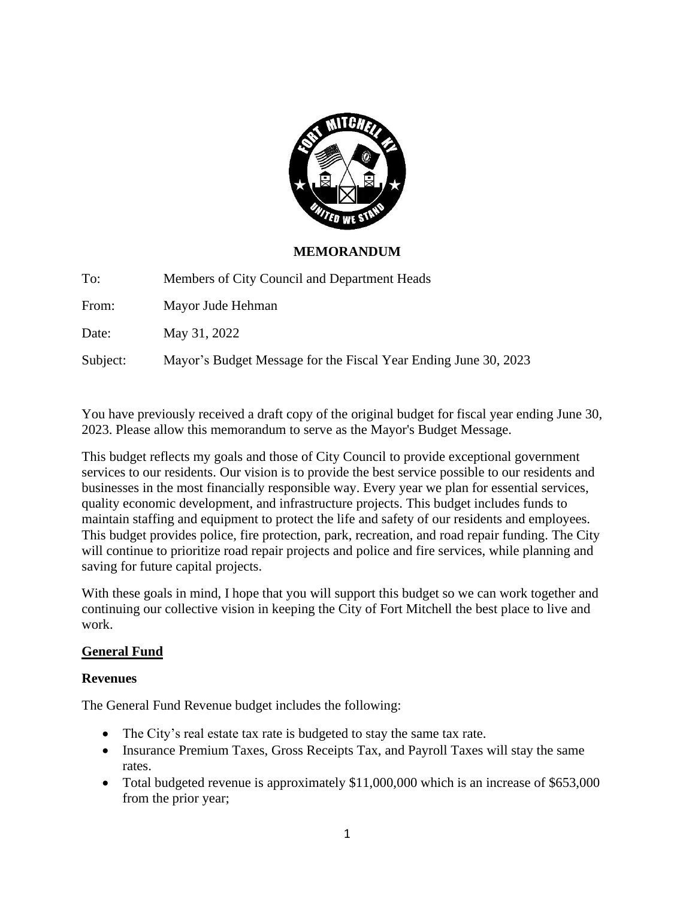

### **MEMORANDUM**

To: Members of City Council and Department Heads

From: Mayor Jude Hehman

Date: May 31, 2022

Subject: Mayor's Budget Message for the Fiscal Year Ending June 30, 2023

You have previously received a draft copy of the original budget for fiscal year ending June 30, 2023. Please allow this memorandum to serve as the Mayor's Budget Message.

This budget reflects my goals and those of City Council to provide exceptional government services to our residents. Our vision is to provide the best service possible to our residents and businesses in the most financially responsible way. Every year we plan for essential services, quality economic development, and infrastructure projects. This budget includes funds to maintain staffing and equipment to protect the life and safety of our residents and employees. This budget provides police, fire protection, park, recreation, and road repair funding. The City will continue to prioritize road repair projects and police and fire services, while planning and saving for future capital projects.

With these goals in mind, I hope that you will support this budget so we can work together and continuing our collective vision in keeping the City of Fort Mitchell the best place to live and work.

#### **General Fund**

#### **Revenues**

The General Fund Revenue budget includes the following:

- The City's real estate tax rate is budgeted to stay the same tax rate.
- Insurance Premium Taxes, Gross Receipts Tax, and Payroll Taxes will stay the same rates.
- Total budgeted revenue is approximately \$11,000,000 which is an increase of \$653,000 from the prior year;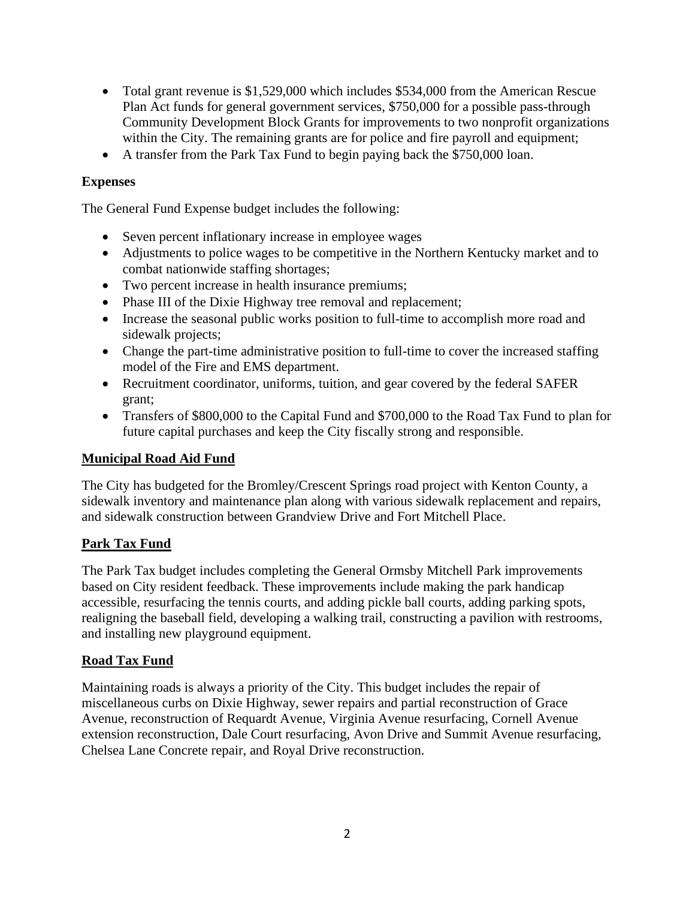- Total grant revenue is \$1,529,000 which includes \$534,000 from the American Rescue Plan Act funds for general government services, \$750,000 for a possible pass-through Community Development Block Grants for improvements to two nonprofit organizations within the City. The remaining grants are for police and fire payroll and equipment;
- A transfer from the Park Tax Fund to begin paying back the \$750,000 loan.

## **Expenses**

The General Fund Expense budget includes the following:

- Seven percent inflationary increase in employee wages
- Adjustments to police wages to be competitive in the Northern Kentucky market and to combat nationwide staffing shortages;
- Two percent increase in health insurance premiums;
- Phase III of the Dixie Highway tree removal and replacement;
- Increase the seasonal public works position to full-time to accomplish more road and sidewalk projects;
- Change the part-time administrative position to full-time to cover the increased staffing model of the Fire and EMS department.
- Recruitment coordinator, uniforms, tuition, and gear covered by the federal SAFER grant;
- Transfers of \$800,000 to the Capital Fund and \$700,000 to the Road Tax Fund to plan for future capital purchases and keep the City fiscally strong and responsible.

#### **Municipal Road Aid Fund**

The City has budgeted for the Bromley/Crescent Springs road project with Kenton County, a sidewalk inventory and maintenance plan along with various sidewalk replacement and repairs, and sidewalk construction between Grandview Drive and Fort Mitchell Place.

# **Park Tax Fund**

The Park Tax budget includes completing the General Ormsby Mitchell Park improvements based on City resident feedback. These improvements include making the park handicap accessible, resurfacing the tennis courts, and adding pickle ball courts, adding parking spots, realigning the baseball field, developing a walking trail, constructing a pavilion with restrooms, and installing new playground equipment.

#### **Road Tax Fund**

Maintaining roads is always a priority of the City. This budget includes the repair of miscellaneous curbs on Dixie Highway, sewer repairs and partial reconstruction of Grace Avenue, reconstruction of Requardt Avenue, Virginia Avenue resurfacing, Cornell Avenue extension reconstruction, Dale Court resurfacing, Avon Drive and Summit Avenue resurfacing, Chelsea Lane Concrete repair, and Royal Drive reconstruction.